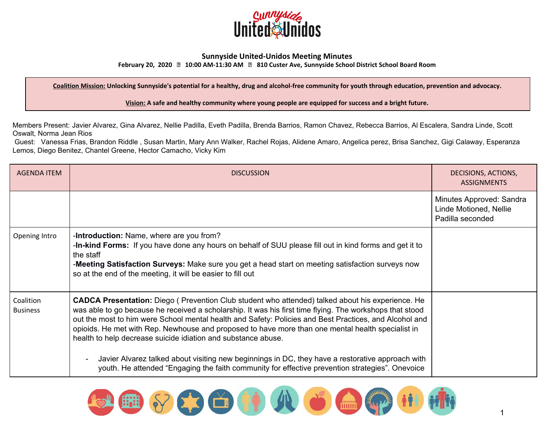

## **Sunnyside United-Unidos Meeting Minutes**

**February 20, 2020 10:00 AM-11:30 AM 810 Custer Ave, Sunnyside School District School Board Room**

Coalition Mission: Unlocking Sunnyside's potential for a healthy, drug and alcohol-free community for youth through education, prevention and advocacy.

**Vision: A safe and healthy community where young people are equipped for success and a bright future.**

Members Present: Javier Alvarez, Gina Alvarez, Nellie Padilla, Eveth Padilla, Brenda Barrios, Ramon Chavez, Rebecca Barrios, Al Escalera, Sandra Linde, Scott Oswalt, Norma Jean Rios

Guest: Vanessa Frias, Brandon Riddle , Susan Martin, Mary Ann Walker, Rachel Rojas, Alidene Amaro, Angelica perez, Brisa Sanchez, Gigi Calaway, Esperanza Lemos, Diego Benitez, Chantel Greene, Hector Camacho, Vicky Kim

| <b>AGENDA ITEM</b>           | <b>DISCUSSION</b>                                                                                                                                                                                                                                                                                                                                                                                                                                                                                   | DECISIONS, ACTIONS,<br><b>ASSIGNMENTS</b>                              |
|------------------------------|-----------------------------------------------------------------------------------------------------------------------------------------------------------------------------------------------------------------------------------------------------------------------------------------------------------------------------------------------------------------------------------------------------------------------------------------------------------------------------------------------------|------------------------------------------------------------------------|
|                              |                                                                                                                                                                                                                                                                                                                                                                                                                                                                                                     | Minutes Approved: Sandra<br>Linde Motioned, Nellie<br>Padilla seconded |
| Opening Intro                | -Introduction: Name, where are you from?<br>-In-kind Forms: If you have done any hours on behalf of SUU please fill out in kind forms and get it to<br>the staff<br>-Meeting Satisfaction Surveys: Make sure you get a head start on meeting satisfaction surveys now<br>so at the end of the meeting, it will be easier to fill out                                                                                                                                                                |                                                                        |
| Coalition<br><b>Business</b> | <b>CADCA Presentation:</b> Diego (Prevention Club student who attended) talked about his experience. He<br>was able to go because he received a scholarship. It was his first time flying. The workshops that stood<br>out the most to him were School mental health and Safety: Policies and Best Practices, and Alcohol and<br>opioids. He met with Rep. Newhouse and proposed to have more than one mental health specialist in<br>health to help decrease suicide idiation and substance abuse. |                                                                        |
|                              | Javier Alvarez talked about visiting new beginnings in DC, they have a restorative approach with<br>youth. He attended "Engaging the faith community for effective prevention strategies". Onevoice                                                                                                                                                                                                                                                                                                 |                                                                        |

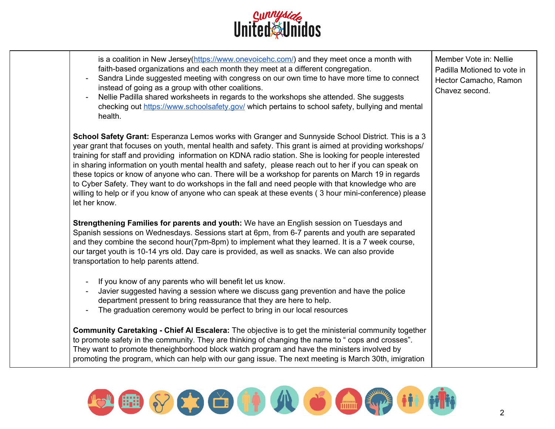

| is a coalition in New Jersey(https://www.onevoicehc.com/) and they meet once a month with<br>faith-based organizations and each month they meet at a different congregation.<br>Sandra Linde suggested meeting with congress on our own time to have more time to connect<br>instead of going as a group with other coalitions.<br>Nellie Padilla shared worksheets in regards to the workshops she attended. She suggests<br>checking out https://www.schoolsafety.gov/ which pertains to school safety, bullying and mental<br>health.                                                                                                                                                                                                                                          | Member Vote in: Nellie<br>Padilla Motioned to vote in<br>Hector Camacho, Ramon<br>Chavez second. |
|-----------------------------------------------------------------------------------------------------------------------------------------------------------------------------------------------------------------------------------------------------------------------------------------------------------------------------------------------------------------------------------------------------------------------------------------------------------------------------------------------------------------------------------------------------------------------------------------------------------------------------------------------------------------------------------------------------------------------------------------------------------------------------------|--------------------------------------------------------------------------------------------------|
| <b>School Safety Grant:</b> Esperanza Lemos works with Granger and Sunnyside School District. This is a 3<br>year grant that focuses on youth, mental health and safety. This grant is aimed at providing workshops/<br>training for staff and providing information on KDNA radio station. She is looking for people interested<br>in sharing information on youth mental health and safety, please reach out to her if you can speak on<br>these topics or know of anyone who can. There will be a workshop for parents on March 19 in regards<br>to Cyber Safety. They want to do workshops in the fall and need people with that knowledge who are<br>willing to help or if you know of anyone who can speak at these events (3 hour mini-conference) please<br>let her know. |                                                                                                  |
| Strengthening Families for parents and youth: We have an English session on Tuesdays and<br>Spanish sessions on Wednesdays. Sessions start at 6pm, from 6-7 parents and youth are separated<br>and they combine the second hour(7pm-8pm) to implement what they learned. It is a 7 week course,<br>our target youth is 10-14 yrs old. Day care is provided, as well as snacks. We can also provide<br>transportation to help parents attend.                                                                                                                                                                                                                                                                                                                                      |                                                                                                  |
| If you know of any parents who will benefit let us know.<br>Javier suggested having a session where we discuss gang prevention and have the police<br>department pressent to bring reassurance that they are here to help.<br>The graduation ceremony would be perfect to bring in our local resources                                                                                                                                                                                                                                                                                                                                                                                                                                                                            |                                                                                                  |
| Community Caretaking - Chief AI Escalera: The objective is to get the ministerial community together<br>to promote safety in the community. They are thinking of changing the name to "cops and crosses".<br>They want to promote theneighborhood block watch program and have the ministers involved by<br>promoting the program, which can help with our gang issue. The next meeting is March 30th, imigration                                                                                                                                                                                                                                                                                                                                                                 |                                                                                                  |

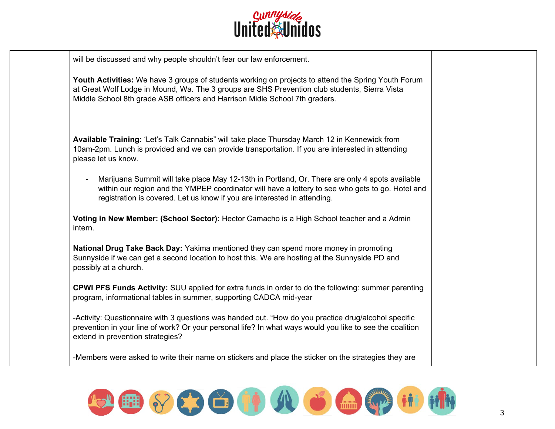

| will be discussed and why people shouldn't fear our law enforcement.                                                                                                                                                                                                                |  |
|-------------------------------------------------------------------------------------------------------------------------------------------------------------------------------------------------------------------------------------------------------------------------------------|--|
| Youth Activities: We have 3 groups of students working on projects to attend the Spring Youth Forum<br>at Great Wolf Lodge in Mound, Wa. The 3 groups are SHS Prevention club students, Sierra Vista<br>Middle School 8th grade ASB officers and Harrison Midle School 7th graders. |  |
| Available Training: 'Let's Talk Cannabis" will take place Thursday March 12 in Kennewick from                                                                                                                                                                                       |  |
| 10am-2pm. Lunch is provided and we can provide transportation. If you are interested in attending<br>please let us know.                                                                                                                                                            |  |
| Marijuana Summit will take place May 12-13th in Portland, Or. There are only 4 spots available                                                                                                                                                                                      |  |
| within our region and the YMPEP coordinator will have a lottery to see who gets to go. Hotel and<br>registration is covered. Let us know if you are interested in attending.                                                                                                        |  |
| Voting in New Member: (School Sector): Hector Camacho is a High School teacher and a Admin<br>intern.                                                                                                                                                                               |  |
| National Drug Take Back Day: Yakima mentioned they can spend more money in promoting                                                                                                                                                                                                |  |
| Sunnyside if we can get a second location to host this. We are hosting at the Sunnyside PD and<br>possibly at a church.                                                                                                                                                             |  |
| <b>CPWI PFS Funds Activity:</b> SUU applied for extra funds in order to do the following: summer parenting<br>program, informational tables in summer, supporting CADCA mid-year                                                                                                    |  |
| -Activity: Questionnaire with 3 questions was handed out. "How do you practice drug/alcohol specific                                                                                                                                                                                |  |
| prevention in your line of work? Or your personal life? In what ways would you like to see the coalition<br>extend in prevention strategies?                                                                                                                                        |  |
| -Members were asked to write their name on stickers and place the sticker on the strategies they are                                                                                                                                                                                |  |